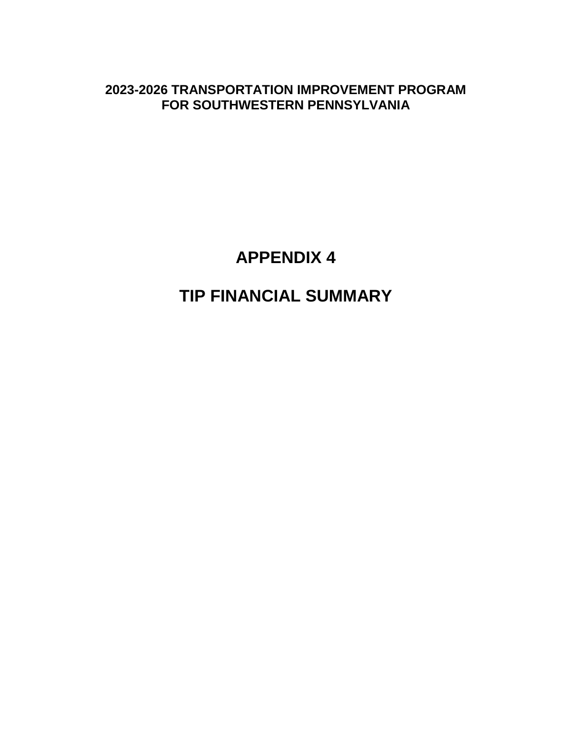**2023-2026 TRANSPORTATION IMPROVEMENT PROGRAM FOR SOUTHWESTERN PENNSYLVANIA** 

**APPENDIX 4** 

**TIP FINANCIAL SUMMARY**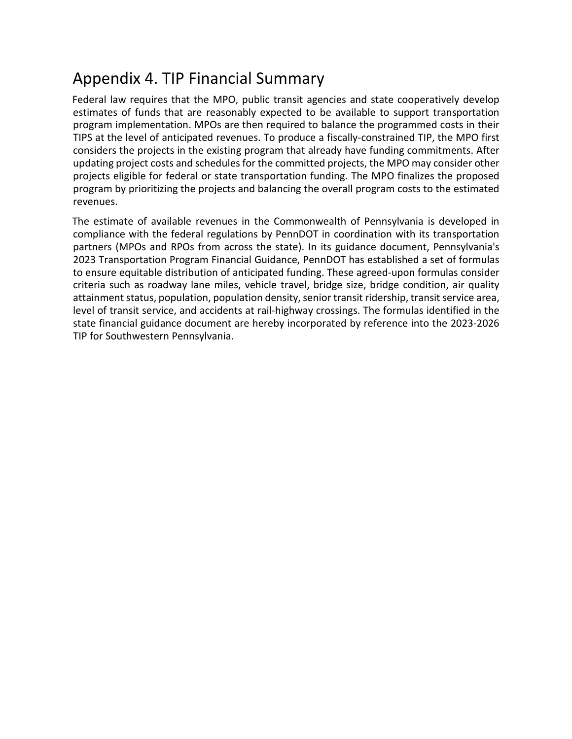## Appendix 4. TIP Financial Summary

Federal law requires that the MPO, public transit agencies and state cooperatively develop estimates of funds that are reasonably expected to be available to support transportation program implementation. MPOs are then required to balance the programmed costs in their TIPS at the level of anticipated revenues. To produce a fiscally-constrained TIP, the MPO first considers the projects in the existing program that already have funding commitments. After updating project costs and schedules for the committed projects, the MPO may consider other projects eligible for federal or state transportation funding. The MPO finalizes the proposed program by prioritizing the projects and balancing the overall program costs to the estimated revenues.

The estimate of available revenues in the Commonwealth of Pennsylvania is developed in compliance with the federal regulations by PennDOT in coordination with its transportation partners (MPOs and RPOs from across the state). In its guidance document, Pennsylvania's 2023 Transportation Program Financial Guidance, PennDOT has established a set of formulas to ensure equitable distribution of anticipated funding. These agreed-upon formulas consider criteria such as roadway lane miles, vehicle travel, bridge size, bridge condition, air quality attainment status, population, population density, senior transit ridership, transit service area, level of transit service, and accidents at rail-highway crossings. The formulas identified in the state financial guidance document are hereby incorporated by reference into the 2023-2026 TIP for Southwestern Pennsylvania.